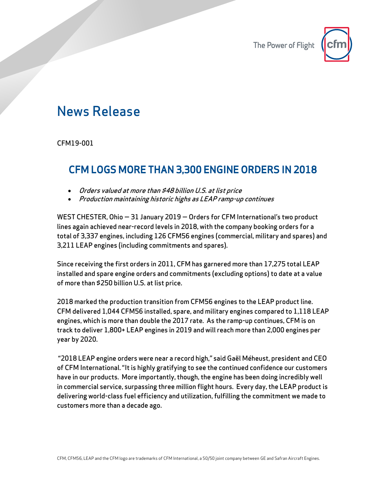

## News Release

CFM19-001

## CFM LOGS MORE THAN 3,300 ENGINE ORDERS IN 2018

- Orders valued at more than \$48 billion U.S. at list price
- Production maintaining historic highs as LEAP ramp-up continues

WEST CHESTER, Ohio — 31 January 2019 — Orders for CFM International's two product lines again achieved near-record levels in 2018, with the company booking orders for a total of 3,337 engines, including 126 CFM56 engines (commercial, military and spares) and 3,211 LEAP engines (including commitments and spares).

Since receiving the first orders in 2011, CFM has garnered more than 17,275 total LEAP installed and spare engine orders and commitments (excluding options) to date at a value of more than \$250 billion U.S. at list price.

2018 marked the production transition from CFM56 engines to the LEAP product line. CFM delivered 1,044 CFM56 installed, spare, and military engines compared to 1,118 LEAP engines, which is more than double the 2017 rate. As the ramp-up continues, CFM is on track to deliver 1,800+ LEAP engines in 2019 and will reach more than 2,000 engines per year by 2020.

"2018 LEAP engine orders were near a record high," said Gaël Méheust, president and CEO of CFM International. "It is highly gratifying to see the continued confidence our customers have in our products. More importantly, though, the engine has been doing incredibly well in commercial service, surpassing three million flight hours. Every day, the LEAP product is delivering world-class fuel efficiency and utilization, fulfilling the commitment we made to customers more than a decade ago.